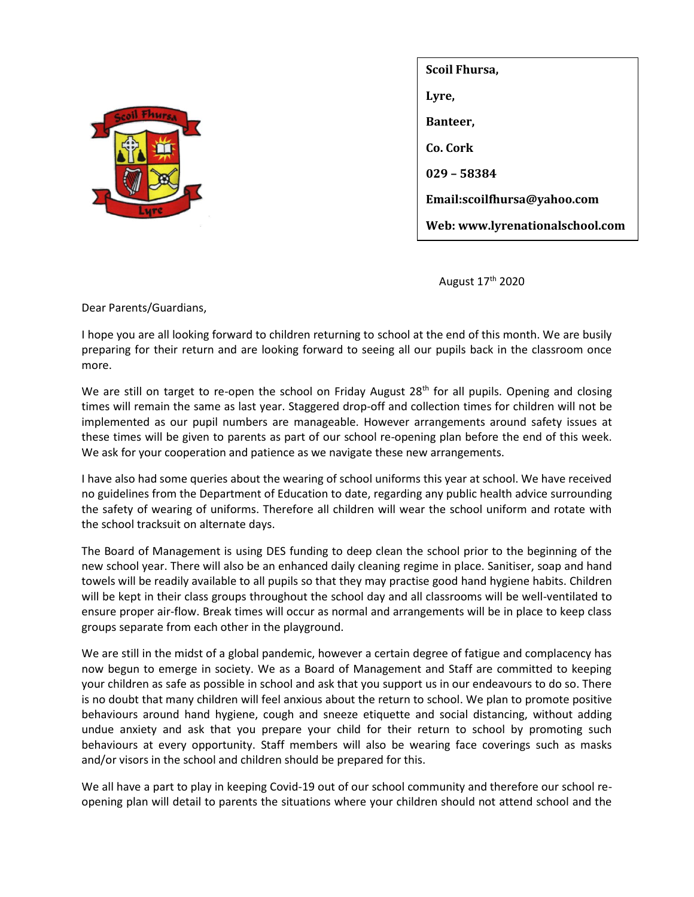

| Scoil Fhursa,                   |
|---------------------------------|
| Lyre,                           |
| Banteer,                        |
| Co. Cork                        |
| 029 - 58384                     |
| Email:scoilfhursa@yahoo.com     |
| Web: www.lyrenationalschool.com |

August 17<sup>th</sup> 2020

Dear Parents/Guardians,

I hope you are all looking forward to children returning to school at the end of this month. We are busily preparing for their return and are looking forward to seeing all our pupils back in the classroom once more.

We are still on target to re-open the school on Friday August 28<sup>th</sup> for all pupils. Opening and closing times will remain the same as last year. Staggered drop-off and collection times for children will not be implemented as our pupil numbers are manageable. However arrangements around safety issues at these times will be given to parents as part of our school re-opening plan before the end of this week. We ask for your cooperation and patience as we navigate these new arrangements.

I have also had some queries about the wearing of school uniforms this year at school. We have received no guidelines from the Department of Education to date, regarding any public health advice surrounding the safety of wearing of uniforms. Therefore all children will wear the school uniform and rotate with the school tracksuit on alternate days.

The Board of Management is using DES funding to deep clean the school prior to the beginning of the new school year. There will also be an enhanced daily cleaning regime in place. Sanitiser, soap and hand towels will be readily available to all pupils so that they may practise good hand hygiene habits. Children will be kept in their class groups throughout the school day and all classrooms will be well-ventilated to ensure proper air-flow. Break times will occur as normal and arrangements will be in place to keep class groups separate from each other in the playground.

We are still in the midst of a global pandemic, however a certain degree of fatigue and complacency has now begun to emerge in society. We as a Board of Management and Staff are committed to keeping your children as safe as possible in school and ask that you support us in our endeavours to do so. There is no doubt that many children will feel anxious about the return to school. We plan to promote positive behaviours around hand hygiene, cough and sneeze etiquette and social distancing, without adding undue anxiety and ask that you prepare your child for their return to school by promoting such behaviours at every opportunity. Staff members will also be wearing face coverings such as masks and/or visors in the school and children should be prepared for this.

We all have a part to play in keeping Covid-19 out of our school community and therefore our school reopening plan will detail to parents the situations where your children should not attend school and the